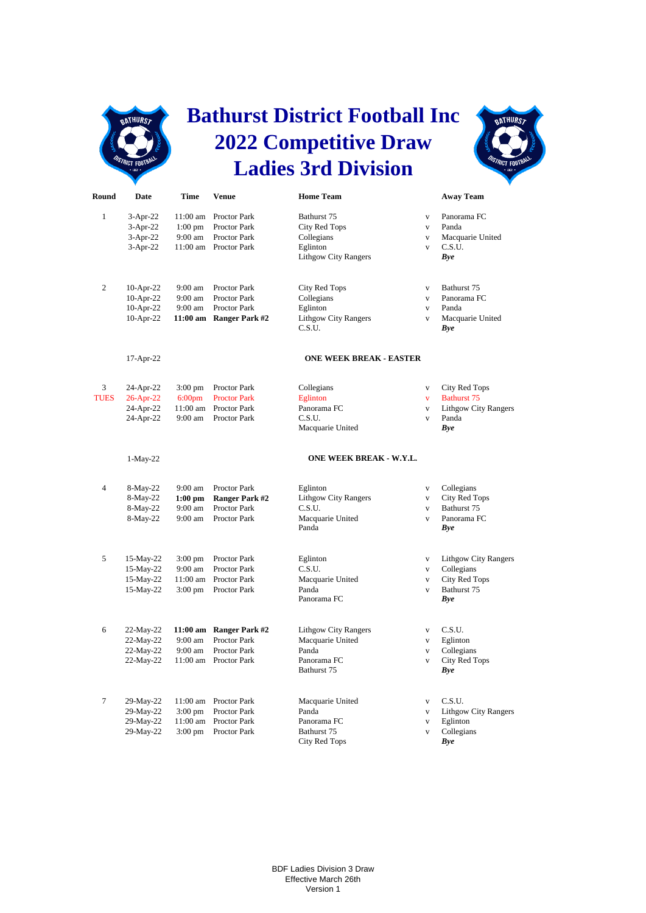

## **Bathurst District Football Inc 2022 Competitive Draw Ladies 3rd Division**



| Round          | Date                                   | Time                             | <b>Venue</b>                                        | <b>Home Team</b>                           |                                             | <b>Away Team</b>                         |
|----------------|----------------------------------------|----------------------------------|-----------------------------------------------------|--------------------------------------------|---------------------------------------------|------------------------------------------|
| $\mathbf{1}$   | $3-Apr-22$<br>$3-Apr-22$<br>$3-Apr-22$ | 11:00 am<br>$1:00$ pm<br>9:00 am | Proctor Park<br><b>Proctor Park</b><br>Proctor Park | Bathurst 75<br>City Red Tops<br>Collegians | $\mathbf{V}$<br>$\mathbf{V}$<br>$\mathbf V$ | Panorama FC<br>Panda<br>Macquarie United |
|                | $3-Apr-22$                             | 11:00 am                         | Proctor Park                                        | Eglinton<br><b>Lithgow City Rangers</b>    | $\mathbf{V}$                                | C.S.U.<br>Bye                            |
| $\overline{c}$ | $10-Apr-22$                            | 9:00 am<br>$9:00 \text{ am}$     | Proctor Park<br><b>Proctor Park</b>                 | City Red Tops                              | $\mathbf{V}$                                | Bathurst 75<br>Panorama FC               |
|                | $10-Apr-22$<br>$10-Apr-22$             | 9:00 am                          | Proctor Park                                        | Collegians<br>Eglinton                     | $\mathbf{V}$<br>$\mathbf V$                 | Panda                                    |
|                | 10-Apr-22                              | 11:00 am                         | <b>Ranger Park #2</b>                               | <b>Lithgow City Rangers</b><br>C.S.U.      | $\mathbf{V}$                                | Macquarie United<br>Bye                  |
|                | 17-Apr-22                              |                                  |                                                     | <b>ONE WEEK BREAK - EASTER</b>             |                                             |                                          |
| 3              | 24-Apr-22                              | $3:00$ pm                        | Proctor Park                                        | Collegians                                 | $\mathbf{V}$                                | City Red Tops                            |
| <b>TUES</b>    | 26-Apr-22                              | 6:00 <sub>pm</sub>               | <b>Proctor Park</b>                                 | Eglinton                                   | V                                           | <b>Bathurst 75</b>                       |
|                | 24-Apr-22                              | 11:00 am                         | Proctor Park                                        | Panorama FC                                | $\mathbf{V}$                                | <b>Lithgow City Rangers</b>              |
|                | 24-Apr-22                              | 9:00 am                          | Proctor Park                                        | C.S.U.<br>Macquarie United                 | $\mathbf V$                                 | Panda<br>Bye                             |
|                | $1-May-22$                             |                                  |                                                     | ONE WEEK BREAK - W.Y.L.                    |                                             |                                          |
| 4              | 8-May-22                               | 9:00 am                          | Proctor Park                                        | Eglinton                                   | $\mathbf V$                                 | Collegians                               |
|                | 8-May-22                               | $1:00$ pm                        | <b>Ranger Park #2</b>                               | <b>Lithgow City Rangers</b>                | $\overline{\mathbf{V}}$                     | <b>City Red Tops</b>                     |
|                | 8-May-22                               | 9:00 am                          | Proctor Park                                        | C.S.U.                                     | $\mathbf{V}$                                | Bathurst 75                              |
|                | 8-May-22                               | $9:00 \text{ am}$                | <b>Proctor Park</b>                                 | Macquarie United<br>Panda                  | $\overline{\mathbf{V}}$                     | Panorama FC<br><b>Bye</b>                |
| 5              | 15-May-22                              | $3:00$ pm                        | Proctor Park                                        | Eglinton                                   | $\mathbf{V}$                                | <b>Lithgow City Rangers</b>              |
|                | 15-May-22                              | $9:00$ am                        | <b>Proctor Park</b>                                 | C.S.U.                                     | $\mathbf{V}$                                | Collegians                               |
|                | 15-May-22                              | 11:00 am                         | Proctor Park                                        | Macquarie United                           | $\mathbf{V}$                                | City Red Tops                            |
|                | 15-May-22                              | $3:00 \text{ pm}$                | Proctor Park                                        | Panda<br>Panorama FC                       | $\mathbf{V}$                                | Bathurst 75<br>Bye                       |
| 6              | 22-May-22                              |                                  | 11:00 am Ranger Park #2                             | Lithgow City Rangers                       | $\mathbf V$                                 | C.S.U.                                   |
|                | 22-May-22                              | $9:00 \text{ am}$                | Proctor Park                                        | Macquarie United                           | $\mathbf{V}$                                | Eglinton                                 |
|                | 22-May-22                              | $9:00 \text{ am}$                | <b>Proctor Park</b>                                 | Panda                                      | V                                           | Collegians                               |
|                | 22-May-22                              | $11:00$ am                       | <b>Proctor Park</b>                                 | Panorama FC<br>Bathurst 75                 | $\mathbf{V}$                                | City Red Tops<br>Bye                     |
| $\tau$         | 29-May-22                              | 11:00 am                         | <b>Proctor Park</b>                                 | Macquarie United                           | V                                           | C.S.U.                                   |
|                | 29-May-22                              | $3:00$ pm                        | <b>Proctor Park</b>                                 | Panda                                      | $\mathbf V$                                 | <b>Lithgow City Rangers</b>              |
|                | 29-May-22                              | 11:00 am                         | Proctor Park                                        | Panorama FC                                | $\mathbf{V}$                                | Eglinton                                 |
|                | 29-May-22                              | $3:00 \text{ pm}$                | Proctor Park                                        | Bathurst 75<br>City Red Tops               | $\overline{\mathbf{V}}$                     | Collegians<br>Bye                        |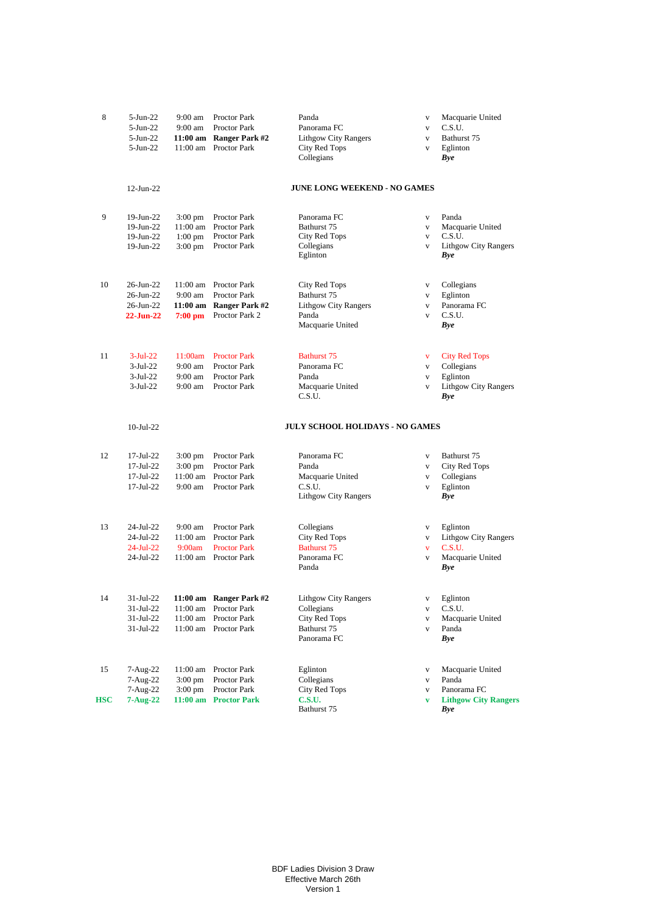| 8   | $5-Jun-22$<br>$5-Jun-22$<br>$5$ -Jun-22<br>$5-Jun-22$ | $9:00$ am<br>$9:00$ am<br>11:00 am                              | Proctor Park<br>Proctor Park<br>11:00 am Ranger Park #2<br>Proctor Park                            | Panda<br>Panorama FC<br><b>Lithgow City Rangers</b><br>City Red Tops              | $\mathbf{V}$<br>$\mathbf{V}$<br>$\mathbf{V}$<br>$\mathbf{V}$            | Macquarie United<br>C.S.U.<br>Bathurst 75<br>Eglinton                                |
|-----|-------------------------------------------------------|-----------------------------------------------------------------|----------------------------------------------------------------------------------------------------|-----------------------------------------------------------------------------------|-------------------------------------------------------------------------|--------------------------------------------------------------------------------------|
|     |                                                       |                                                                 |                                                                                                    | Collegians                                                                        |                                                                         | Bye                                                                                  |
|     | $12$ -Jun-22                                          |                                                                 |                                                                                                    | <b>JUNE LONG WEEKEND - NO GAMES</b>                                               |                                                                         |                                                                                      |
| 9   | 19-Jun-22<br>19-Jun-22<br>19-Jun-22<br>19-Jun-22      | $3:00 \text{ pm}$<br>11:00 am<br>$1:00$ pm<br>$3:00 \text{ pm}$ | Proctor Park<br>Proctor Park<br>Proctor Park<br>Proctor Park                                       | Panorama FC<br>Bathurst 75<br>City Red Tops<br>Collegians<br>Eglinton             | $\mathbf{V}$<br>$\mathbf{V}$<br>$\mathbf{V}$<br>$\mathbf{V}$            | Panda<br>Macquarie United<br>C.S.U.<br>Lithgow City Rangers<br>Bye                   |
| 10  | 26-Jun-22<br>26-Jun-22<br>26-Jun-22<br>$22 - Jun-22$  | 11:00 am<br>$9:00$ am<br>$7:00$ pm                              | <b>Proctor Park</b><br>Proctor Park<br>11:00 am Ranger Park #2<br>Proctor Park 2                   | City Red Tops<br>Bathurst 75<br>Lithgow City Rangers<br>Panda<br>Macquarie United | $\mathbf{V}$<br>$\mathbf{V}$<br>$\mathbf{V}$<br>$\mathbf{V}$            | Collegians<br>Eglinton<br>Panorama FC<br>C.S.U.<br>Bye                               |
| 11  | $3-Jul-22$<br>$3-Jul-22$<br>$3-Jul-22$<br>$3-Jul-22$  | 11:00am<br>$9:00 \text{ am}$<br>$9:00$ am<br>$9:00$ am          | <b>Proctor Park</b><br><b>Proctor Park</b><br>Proctor Park<br>Proctor Park                         | <b>Bathurst 75</b><br>Panorama FC<br>Panda<br>Macquarie United<br>C.S.U.          | $\mathbf{V}$<br>$\mathbf{V}$<br>$\mathbf{V}$<br>$\mathbf{V}$            | <b>City Red Tops</b><br>Collegians<br>Eglinton<br><b>Lithgow City Rangers</b><br>Bye |
|     | $10$ -Jul-22                                          |                                                                 |                                                                                                    | <b>JULY SCHOOL HOLIDAYS - NO GAMES</b>                                            |                                                                         |                                                                                      |
| 12  | 17-Jul-22<br>17-Jul-22<br>17-Jul-22<br>17-Jul-22      | $3:00 \text{ pm}$<br>$3:00 \text{ pm}$<br>11:00 am<br>9:00 am   | Proctor Park<br>Proctor Park<br><b>Proctor Park</b><br>Proctor Park                                | Panorama FC<br>Panda<br>Macquarie United<br>C.S.U.<br>Lithgow City Rangers        | $\mathbf{V}$<br>$\mathbf{V}$<br>$\mathbf{V}$<br>$\mathbf{V}$            | Bathurst 75<br>City Red Tops<br>Collegians<br>Eglinton<br>Bye                        |
| 13  | 24-Jul-22<br>24-Jul-22<br>$24$ -Jul-22<br>24-Jul-22   | $9:00$ am<br>11:00 am<br>9:00am                                 | <b>Proctor Park</b><br><b>Proctor Park</b><br><b>Proctor Park</b><br>11:00 am Proctor Park         | Collegians<br>City Red Tops<br><b>Bathurst 75</b><br>Panorama FC<br>Panda         | $\mathbf{V}$<br>$\mathbf{V}$<br>$\overline{\mathbf{V}}$<br>$\mathbf{V}$ | Eglinton<br><b>Lithgow City Rangers</b><br>C.S.U.<br>Macquarie United<br>Bye         |
| 14  | 31-Jul-22<br>31-Jul-22<br>31-Jul-22<br>31-Jul-22      |                                                                 | 11:00 am Ranger Park #2<br>11:00 am Proctor Park<br>11:00 am Proctor Park<br>11:00 am Proctor Park | Lithgow City Rangers<br>Collegians<br>City Red Tops<br>Bathurst 75<br>Panorama FC | V<br>$\mathbf{V}$<br>$\mathbf{V}$<br>$\mathbf{V}$                       | Eglinton<br>C.S.U.<br>Macquarie United<br>Panda<br>Bye                               |
| 15  | 7-Aug-22<br>7-Aug-22<br>$7-Aug-22$                    | 11:00 am<br>$3:00 \text{ pm}$<br>$3:00 \text{ pm}$              | Proctor Park<br>Proctor Park<br>Proctor Park                                                       | Eglinton<br>Collegians<br>City Red Tops                                           | $\mathbf{V}$<br>$\mathbf{V}$<br>$\mathbf{V}$                            | Macquarie United<br>Panda<br>Panorama FC                                             |
| HSC | $7 - Aug-22$                                          |                                                                 | 11:00 am Proctor Park                                                                              | <b>C.S.U.</b><br>Bathurst 75                                                      | $\mathbf{v}$                                                            | <b>Lithgow City Rangers</b><br>Bye                                                   |